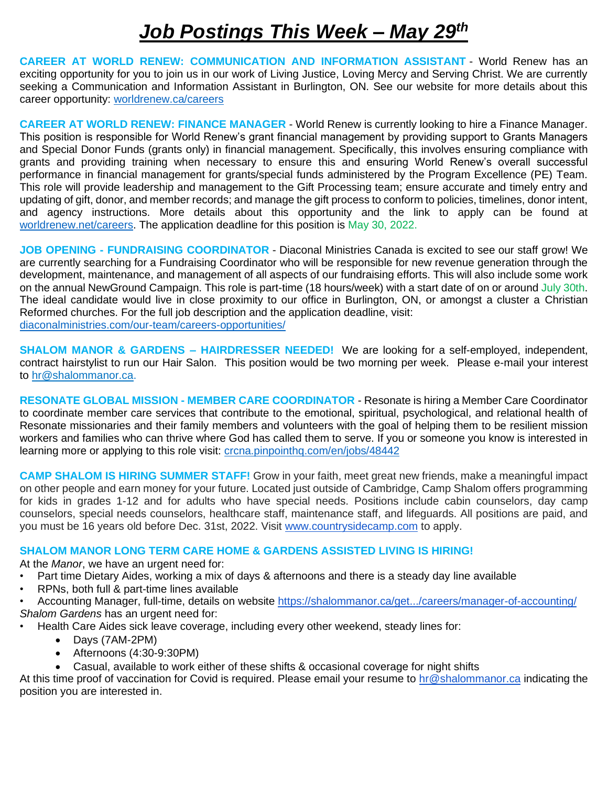## *Job Postings This Week – May 29th*

**CAREER AT WORLD RENEW: COMMUNICATION AND INFORMATION ASSISTANT** - World Renew has an exciting opportunity for you to join us in our work of Living Justice, Loving Mercy and Serving Christ. We are currently seeking a Communication and Information Assistant in Burlington, ON. See our website for more details about this career opportunity:<worldrenew.ca/careers>

**CAREER AT WORLD RENEW: FINANCE MANAGER** - World Renew is currently looking to hire a Finance Manager. This position is responsible for World Renew's grant financial management by providing support to Grants Managers and Special Donor Funds (grants only) in financial management. Specifically, this involves ensuring compliance with grants and providing training when necessary to ensure this and ensuring World Renew's overall successful performance in financial management for grants/special funds administered by the Program Excellence (PE) Team. This role will provide leadership and management to the Gift Processing team; ensure accurate and timely entry and updating of gift, donor, and member records; and manage the gift process to conform to policies, timelines, donor intent, and agency instructions. More details about this opportunity and the link to apply can be found at [worldrenew.net/careers.](worldrenew.net/careers) The application deadline for this position is May 30, 2022.

**JOB OPENING - FUNDRAISING COORDINATOR** - Diaconal Ministries Canada is excited to see our staff grow! We are currently searching for a Fundraising Coordinator who will be responsible for new revenue generation through the development, maintenance, and management of all aspects of our fundraising efforts. This will also include some work on the annual NewGround Campaign. This role is part-time (18 hours/week) with a start date of on or around July 30th. The ideal candidate would live in close proximity to our office in Burlington, ON, or amongst a cluster a Christian Reformed churches. For the full job description and the application deadline, visit: <diaconalministries.com/our-team/careers-opportunities/>

**SHALOM MANOR & GARDENS – HAIRDRESSER NEEDED!** We are looking for a self-employed, independent, contract hairstylist to run our Hair Salon. This position would be two morning per week. Please e-mail your interest to [hr@shalommanor.ca.](mailto:hr@shalommanor.ca)

**RESONATE GLOBAL MISSION - MEMBER CARE COORDINATOR** - Resonate is hiring a Member Care Coordinator to coordinate member care services that contribute to the emotional, spiritual, psychological, and relational health of Resonate missionaries and their family members and volunteers with the goal of helping them to be resilient mission workers and families who can thrive where God has called them to serve. If you or someone you know is interested in learning more or applying to this role visit:<crcna.pinpointhq.com/en/jobs/48442>

**CAMP SHALOM IS HIRING SUMMER STAFF!** Grow in your faith, meet great new friends, make a meaningful impact on other people and earn money for your future. Located just outside of Cambridge, Camp Shalom offers programming for kids in grades 1-12 and for adults who have special needs. Positions include cabin counselors, day camp counselors, special needs counselors, healthcare staff, maintenance staff, and lifeguards. All positions are paid, and you must be 16 years old before Dec. 31st, 2022. Visit [www.countrysidecamp.com](http://www.countrysidecamp.com/) to apply.

## **SHALOM MANOR LONG TERM CARE HOME & GARDENS ASSISTED LIVING IS HIRING!**

At the *Manor*, we have an urgent need for:

- Part time Dietary Aides, working a mix of days & afternoons and there is a steady day line available
- RPNs, both full & part-time lines available
- Accounting Manager, full-time, details on website [https://shalommanor.ca/get.../careers/manager-of-accounting/](https://shalommanor.ca/get-involved/careers/manager-of-accounting/?fbclid=IwAR2cCq6G0JlvNPnsx4WaSk-ROmggQ8YgMlcyRnI_5FMPmf6TwoOThAdnyEU) *Shalom Gardens* has an urgent need for:
- Health Care Aides sick leave coverage, including every other weekend, steady lines for:
	- Days (7AM-2PM)
	- Afternoons (4:30-9:30PM)
	- Casual, available to work either of these shifts & occasional coverage for night shifts

At this time proof of vaccination for Covid is required. Please email your resume to [hr@shalommanor.ca](mailto:hr@shalommanor.ca) indicating the position you are interested in.